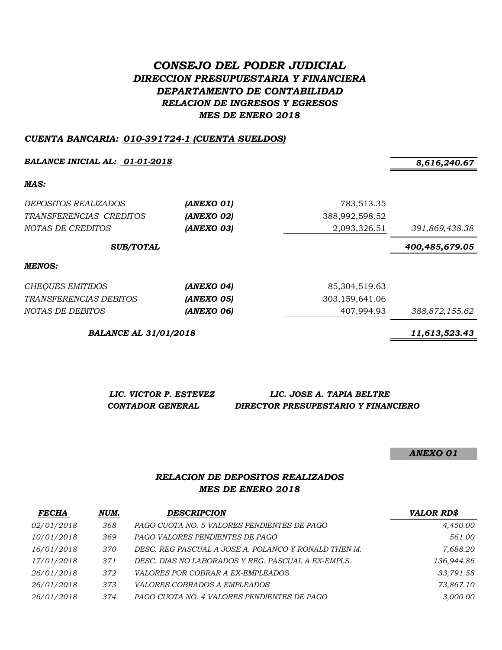# *CONSEJO DEL PODER JUDICIAL DIRECCION PRESUPUESTARIA Y FINANCIERA DEPARTAMENTO DE CONTABILIDAD RELACION DE INGRESOS Y EGRESOS MES DE ENERO 2018*

#### *CUENTA BANCARIA: 010-391724-1 (CUENTA SUELDOS)*

*BALANCE INICIAL AL: 01-01-2018 8,616,240.67*

*MAS:*

| <i>DEPOSITOS REALIZADOS</i><br>TRANSFERENCIAS CREDITOS<br>NOTAS DE CREDITOS | (ANEXO 01)<br>(ANEXO 02)<br>(ANEXO 03) | 783,513.35<br>388,992,598.52<br>2,093,326.51 | 391,869,438.38 |
|-----------------------------------------------------------------------------|----------------------------------------|----------------------------------------------|----------------|
| <b>SUB/TOTAL</b>                                                            |                                        |                                              | 400,485,679.05 |
| MENOS:                                                                      |                                        |                                              |                |
| <b>CHEQUES EMITIDOS</b>                                                     | (ANEXO 04)                             | 85,304,519.63                                |                |
| <i>TRANSFERENCIAS DEBITOS</i>                                               | (ANEXO 05)                             | 303,159,641.06                               |                |
| NOTAS DE DEBITOS                                                            | (ANEXO 06)                             | 407.994.93                                   | 388,872,155.62 |

*BALANCE AL 31/01/2018 11,613,523.43*

*LIC. VICTOR P. ESTEVEZ LIC. JOSE A. TAPIA BELTRE CONTADOR GENERAL DIRECTOR PRESUPESTARIO Y FINANCIERO*

*ANEXO 01*

### *RELACION DE DEPOSITOS REALIZADOS MES DE ENERO 2018*

| <b>FECHA</b> | NUM. | <b>DESCRIPCION</b>                                   | <b>VALOR RD\$</b> |
|--------------|------|------------------------------------------------------|-------------------|
| 02/01/2018   | 368  | PAGO CUOTA NO. 5 VALORES PENDIENTES DE PAGO          | 4,450.00          |
| 10/01/2018   | 369  | PAGO VALORES PENDIENTES DE PAGO                      | 561.00            |
| 16/01/2018   | 370  | DESC. REG PASCUAL A JOSE A. POLANCO Y RONALD THEN M. | 7,688.20          |
| 17/01/2018   | 371  | DESC. DIAS NO LABORADOS Y REG. PASCUAL A EX-EMPLS.   | 136,944.86        |
| 26/01/2018   | 372  | <i>VALORES POR COBRAR A EX-EMPLEADOS</i>             | 33.791.58         |
| 26/01/2018   | 373  | <i>VALORES COBRADOS A EMPLEADOS</i>                  | 73,867.10         |
| 26/01/2018   | 374  | PAGO CUOTA NO. 4 VALORES PENDIENTES DE PAGO          | 3,000.00          |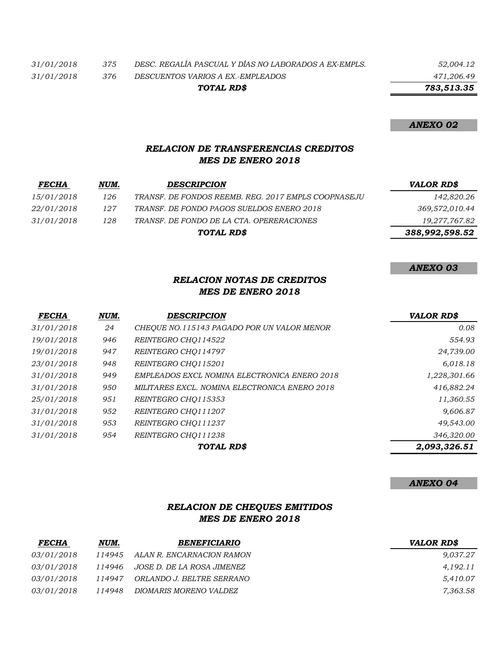*31/01/2018 375 DESC. REGALÍA PASCUAL Y DÍAS NO LABORADOS A EX-EMPLS. 52,004.12*

*31/01/2018 376 DESCUENTOS VARIOS A EX.-EMPLEADOS 471,206.49 TOTAL RD\$*

 *783,513.35*

#### *ANEXO 02*

*ANEXO 03*

# *RELACION DE TRANSFERENCIAS CREDITOS MES DE ENERO 2018*

| <b>FECHA</b> | NUM. | <b>DESCRIPCION</b>                                  | <b>VALOR RD\$</b> |
|--------------|------|-----------------------------------------------------|-------------------|
| 15/01/2018   | 126  | TRANSF. DE FONDOS REEMB. REG. 2017 EMPLS COOPNASEJU | 142,820.26        |
| 22/01/2018   | 127  | TRANSF. DE FONDO PAGOS SUELDOS ENERO 2018           | 369,572,010.44    |
| 31/01/2018   | 128  | TRANSF. DE FONDO DE LA CTA. OPERERACIONES           | 19,277,767.82     |
|              |      | TOTAL RD\$                                          | 388,992,598.52    |

#### *RELACION NOTAS DE CREDITOS MES DE ENERO 2018*

| <b>FECHA</b> | NUM. | <b>DESCRIPCION</b>                            | <b>VALOR RD\$</b> |
|--------------|------|-----------------------------------------------|-------------------|
| 31/01/2018   | 24   | CHEOUE NO.115143 PAGADO POR UN VALOR MENOR    | 0.08              |
| 19/01/2018   | 946  | REINTEGRO CHO114522                           | 554.93            |
| 19/01/2018   | 947  | REINTEGRO CHO114797                           | 24,739.00         |
| 23/01/2018   | 948  | REINTEGRO CHQ115201                           | 6,018.18          |
| 31/01/2018   | 949  | EMPLEADOS EXCL NOMINA ELECTRONICA ENERO 2018  | 1,228,301.66      |
| 31/01/2018   | 950  | MILITARES EXCL. NOMINA ELECTRONICA ENERO 2018 | 416,882.24        |
| 25/01/2018   | 951  | REINTEGRO CHO115353                           | 11,360.55         |
| 31/01/2018   | 952  | REINTEGRO CHO111207                           | 9,606.87          |
| 31/01/2018   | 953  | REINTEGRO CHO111237                           | 49,543.00         |
| 31/01/2018   | 954  | REINTEGRO CHO111238                           | 346,320.00        |
|              |      | TOTAL RD\$                                    | 2,093,326.51      |

*ANEXO 04*

# *RELACION DE CHEQUES EMITIDOS MES DE ENERO 2018*

| <b>FECHA</b>      | NUM.   | <b>BENEFICIARIO</b>              | <b>VALOR RDS</b> |
|-------------------|--------|----------------------------------|------------------|
| 03/01/2018        |        | 114945 ALAN R. ENCARNACION RAMON | 9,037.27         |
| <i>03/01/2018</i> | 114946 | JOSE D. DE LA ROSA JIMENEZ       | 4,192.11         |
| <i>03/01/2018</i> | 114947 | ORLANDO J. BELTRE SERRANO        | 5,410.07         |
| <i>03/01/2018</i> | 114948 | DIOMARIS MORENO VALDEZ           | 7,363.58         |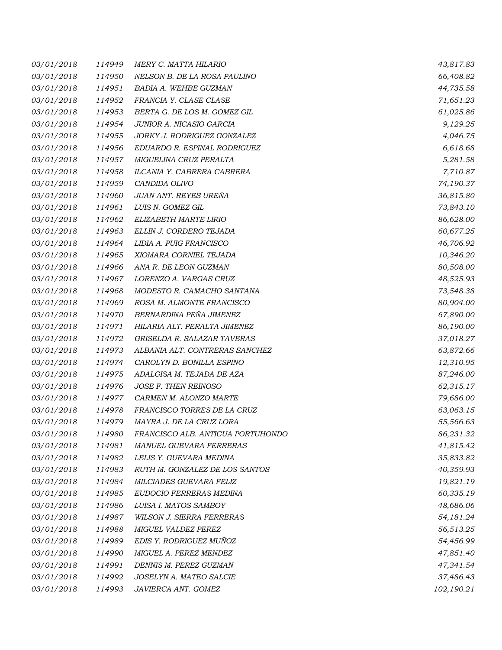| 03/01/2018 | 114949 | MERY C. MATTA HILARIO             | 43,817.83  |
|------------|--------|-----------------------------------|------------|
| 03/01/2018 | 114950 | NELSON B. DE LA ROSA PAULINO      | 66,408.82  |
| 03/01/2018 | 114951 | BADIA A. WEHBE GUZMAN             | 44,735.58  |
| 03/01/2018 | 114952 | FRANCIA Y. CLASE CLASE            | 71,651.23  |
| 03/01/2018 | 114953 | BERTA G. DE LOS M. GOMEZ GIL      | 61,025.86  |
| 03/01/2018 | 114954 | JUNIOR A. NICASIO GARCIA          | 9,129.25   |
| 03/01/2018 | 114955 | JORKY J. RODRIGUEZ GONZALEZ       | 4,046.75   |
| 03/01/2018 | 114956 | EDUARDO R. ESPINAL RODRIGUEZ      | 6,618.68   |
| 03/01/2018 | 114957 | MIGUELINA CRUZ PERALTA            | 5,281.58   |
| 03/01/2018 | 114958 | ILCANIA Y. CABRERA CABRERA        | 7,710.87   |
| 03/01/2018 | 114959 | CANDIDA OLIVO                     | 74,190.37  |
| 03/01/2018 | 114960 | JUAN ANT. REYES UREÑA             | 36,815.80  |
| 03/01/2018 | 114961 | LUIS N. GOMEZ GIL                 | 73,843.10  |
| 03/01/2018 | 114962 | ELIZABETH MARTE LIRIO             | 86,628.00  |
| 03/01/2018 | 114963 | ELLIN J. CORDERO TEJADA           | 60,677.25  |
| 03/01/2018 | 114964 | LIDIA A. PUIG FRANCISCO           | 46,706.92  |
| 03/01/2018 | 114965 | XIOMARA CORNIEL TEJADA            | 10,346.20  |
| 03/01/2018 | 114966 | ANA R. DE LEON GUZMAN             | 80,508.00  |
| 03/01/2018 | 114967 | LORENZO A. VARGAS CRUZ            | 48,525.93  |
| 03/01/2018 | 114968 | MODESTO R. CAMACHO SANTANA        | 73,548.38  |
| 03/01/2018 | 114969 | ROSA M. ALMONTE FRANCISCO         | 80,904.00  |
| 03/01/2018 | 114970 | BERNARDINA PEÑA JIMENEZ           | 67,890.00  |
| 03/01/2018 | 114971 | HILARIA ALT. PERALTA JIMENEZ      | 86,190.00  |
| 03/01/2018 | 114972 | GRISELDA R. SALAZAR TAVERAS       | 37,018.27  |
| 03/01/2018 | 114973 | ALBANIA ALT. CONTRERAS SANCHEZ    | 63,872.66  |
| 03/01/2018 | 114974 | CAROLYN D. BONILLA ESPINO         | 12,310.95  |
| 03/01/2018 | 114975 | ADALGISA M. TEJADA DE AZA         | 87,246.00  |
| 03/01/2018 | 114976 | JOSE F. THEN REINOSO              | 62,315.17  |
| 03/01/2018 | 114977 | CARMEN M. ALONZO MARTE            | 79,686.00  |
| 03/01/2018 | 114978 | FRANCISCO TORRES DE LA CRUZ       | 63,063.15  |
| 03/01/2018 | 114979 | MAYRA J. DE LA CRUZ LORA          | 55,566.63  |
| 03/01/2018 | 114980 | FRANCISCO ALB. ANTIGUA PORTUHONDO | 86,231.32  |
| 03/01/2018 | 114981 | MANUEL GUEVARA FERRERAS           | 41,815.42  |
| 03/01/2018 | 114982 | LELIS Y. GUEVARA MEDINA           | 35,833.82  |
| 03/01/2018 | 114983 | RUTH M. GONZALEZ DE LOS SANTOS    | 40,359.93  |
| 03/01/2018 | 114984 | MILCIADES GUEVARA FELIZ           | 19,821.19  |
| 03/01/2018 | 114985 | EUDOCIO FERRERAS MEDINA           | 60,335.19  |
| 03/01/2018 | 114986 | LUISA I. MATOS SAMBOY             | 48,686.06  |
| 03/01/2018 | 114987 | <b>WILSON J. SIERRA FERRERAS</b>  | 54,181.24  |
| 03/01/2018 | 114988 | MIGUEL VALDEZ PEREZ               | 56,513.25  |
| 03/01/2018 | 114989 | EDIS Y. RODRIGUEZ MUÑOZ           | 54,456.99  |
| 03/01/2018 | 114990 | MIGUEL A. PEREZ MENDEZ            | 47,851.40  |
| 03/01/2018 | 114991 | DENNIS M. PEREZ GUZMAN            | 47,341.54  |
| 03/01/2018 | 114992 | JOSELYN A. MATEO SALCIE           | 37,486.43  |
| 03/01/2018 | 114993 | JAVIERCA ANT. GOMEZ               | 102,190.21 |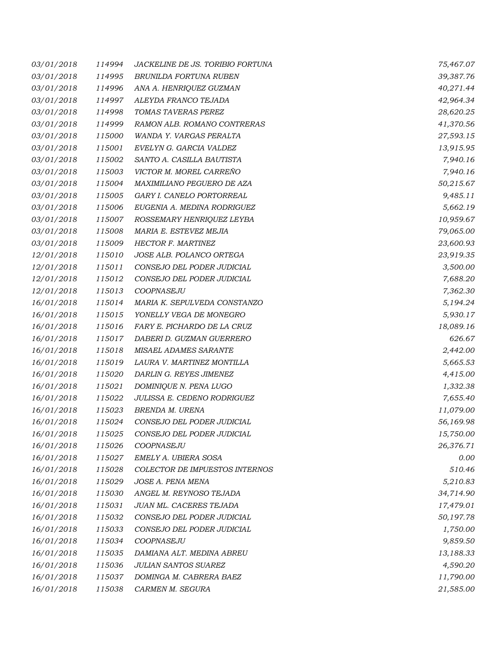| 03/01/2018 | 114994 | JACKELINE DE JS. TORIBIO FORTUNA | 75,467.07 |
|------------|--------|----------------------------------|-----------|
| 03/01/2018 | 114995 | BRUNILDA FORTUNA RUBEN           | 39,387.76 |
| 03/01/2018 | 114996 | ANA A. HENRIQUEZ GUZMAN          | 40,271.44 |
| 03/01/2018 | 114997 | ALEYDA FRANCO TEJADA             | 42,964.34 |
| 03/01/2018 | 114998 | TOMAS TAVERAS PEREZ              | 28,620.25 |
| 03/01/2018 | 114999 | RAMON ALB. ROMANO CONTRERAS      | 41,370.56 |
| 03/01/2018 | 115000 | WANDA Y. VARGAS PERALTA          | 27,593.15 |
| 03/01/2018 | 115001 | EVELYN G. GARCIA VALDEZ          | 13,915.95 |
| 03/01/2018 | 115002 | SANTO A. CASILLA BAUTISTA        | 7,940.16  |
| 03/01/2018 | 115003 | VICTOR M. MOREL CARREÑO          | 7,940.16  |
| 03/01/2018 | 115004 | MAXIMILIANO PEGUERO DE AZA       | 50,215.67 |
| 03/01/2018 | 115005 | GARY I. CANELO PORTORREAL        | 9,485.11  |
| 03/01/2018 | 115006 | EUGENIA A. MEDINA RODRIGUEZ      | 5,662.19  |
| 03/01/2018 | 115007 | ROSSEMARY HENRIQUEZ LEYBA        | 10,959.67 |
| 03/01/2018 | 115008 | MARIA E. ESTEVEZ MEJIA           | 79,065.00 |
| 03/01/2018 | 115009 | HECTOR F. MARTINEZ               | 23,600.93 |
| 12/01/2018 | 115010 | JOSE ALB. POLANCO ORTEGA         | 23,919.35 |
| 12/01/2018 | 115011 | CONSEJO DEL PODER JUDICIAL       | 3,500.00  |
| 12/01/2018 | 115012 | CONSEJO DEL PODER JUDICIAL       | 7,688.20  |
| 12/01/2018 | 115013 | COOPNASEJU                       | 7,362.30  |
| 16/01/2018 | 115014 | MARIA K. SEPULVEDA CONSTANZO     | 5,194.24  |
| 16/01/2018 | 115015 | YONELLY VEGA DE MONEGRO          | 5,930.17  |
| 16/01/2018 | 115016 | FARY E. PICHARDO DE LA CRUZ      | 18,089.16 |
| 16/01/2018 | 115017 | DABERI D. GUZMAN GUERRERO        | 626.67    |
| 16/01/2018 | 115018 | MISAEL ADAMES SARANTE            | 2,442.00  |
| 16/01/2018 | 115019 | LAURA V. MARTINEZ MONTILLA       | 5,665.53  |
| 16/01/2018 | 115020 | DARLIN G. REYES JIMENEZ          | 4,415.00  |
| 16/01/2018 | 115021 | DOMINIQUE N. PENA LUGO           | 1,332.38  |
| 16/01/2018 | 115022 | JULISSA E. CEDENO RODRIGUEZ      | 7,655.40  |
| 16/01/2018 | 115023 | BRENDA M. URENA                  | 11,079.00 |
| 16/01/2018 | 115024 | CONSEJO DEL PODER JUDICIAL       | 56,169.98 |
| 16/01/2018 | 115025 | CONSEJO DEL PODER JUDICIAL       | 15,750.00 |
| 16/01/2018 | 115026 | COOPNASEJU                       | 26,376.71 |
| 16/01/2018 | 115027 | EMELY A. UBIERA SOSA             | 0.00      |
| 16/01/2018 | 115028 | COLECTOR DE IMPUESTOS INTERNOS   | 510.46    |
| 16/01/2018 | 115029 | JOSE A. PENA MENA                | 5,210.83  |
| 16/01/2018 | 115030 | ANGEL M. REYNOSO TEJADA          | 34,714.90 |
| 16/01/2018 | 115031 | JUAN ML. CACERES TEJADA          | 17,479.01 |
| 16/01/2018 | 115032 | CONSEJO DEL PODER JUDICIAL       | 50,197.78 |
| 16/01/2018 | 115033 | CONSEJO DEL PODER JUDICIAL       | 1,750.00  |
| 16/01/2018 | 115034 | COOPNASEJU                       | 9,859.50  |
| 16/01/2018 | 115035 | DAMIANA ALT. MEDINA ABREU        | 13,188.33 |
| 16/01/2018 | 115036 | <b>JULIAN SANTOS SUAREZ</b>      | 4,590.20  |
| 16/01/2018 | 115037 | DOMINGA M. CABRERA BAEZ          | 11,790.00 |
| 16/01/2018 | 115038 | CARMEN M. SEGURA                 | 21,585.00 |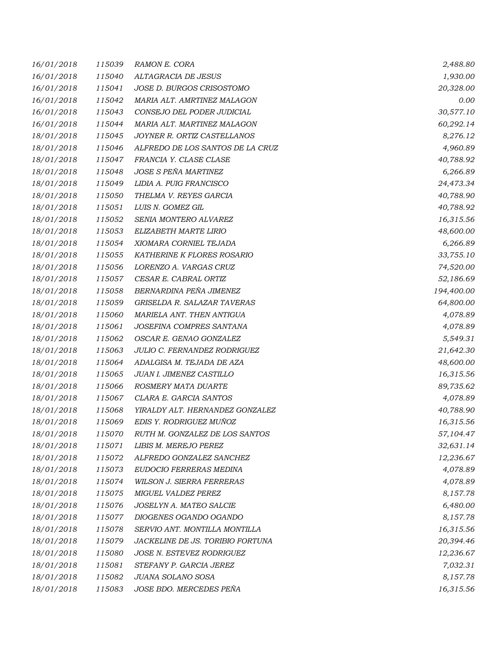| 16/01/2018 | 115039 | RAMON E. CORA                    | 2,488.80   |
|------------|--------|----------------------------------|------------|
| 16/01/2018 | 115040 | ALTAGRACIA DE JESUS              | 1,930.00   |
| 16/01/2018 | 115041 | JOSE D. BURGOS CRISOSTOMO        | 20,328.00  |
| 16/01/2018 | 115042 | MARIA ALT. AMRTINEZ MALAGON      | 0.00       |
| 16/01/2018 | 115043 | CONSEJO DEL PODER JUDICIAL       | 30,577.10  |
| 16/01/2018 | 115044 | MARIA ALT. MARTINEZ MALAGON      | 60,292.14  |
| 18/01/2018 | 115045 | JOYNER R. ORTIZ CASTELLANOS      | 8,276.12   |
| 18/01/2018 | 115046 | ALFREDO DE LOS SANTOS DE LA CRUZ | 4,960.89   |
| 18/01/2018 | 115047 | FRANCIA Y. CLASE CLASE           | 40,788.92  |
| 18/01/2018 | 115048 | JOSE S PEÑA MARTINEZ             | 6,266.89   |
| 18/01/2018 | 115049 | LIDIA A. PUIG FRANCISCO          | 24,473.34  |
| 18/01/2018 | 115050 | THELMA V. REYES GARCIA           | 40,788.90  |
| 18/01/2018 | 115051 | LUIS N. GOMEZ GIL                | 40,788.92  |
| 18/01/2018 | 115052 | SENIA MONTERO ALVAREZ            | 16,315.56  |
| 18/01/2018 | 115053 | ELIZABETH MARTE LIRIO            | 48,600.00  |
| 18/01/2018 | 115054 | XIOMARA CORNIEL TEJADA           | 6,266.89   |
| 18/01/2018 | 115055 | KATHERINE K FLORES ROSARIO       | 33,755.10  |
| 18/01/2018 | 115056 | LORENZO A. VARGAS CRUZ           | 74,520.00  |
| 18/01/2018 | 115057 | CESAR E. CABRAL ORTIZ            | 52,186.69  |
| 18/01/2018 | 115058 | BERNARDINA PEÑA JIMENEZ          | 194,400.00 |
| 18/01/2018 | 115059 | GRISELDA R. SALAZAR TAVERAS      | 64,800.00  |
| 18/01/2018 | 115060 | MARIELA ANT. THEN ANTIGUA        | 4,078.89   |
| 18/01/2018 | 115061 | JOSEFINA COMPRES SANTANA         | 4,078.89   |
| 18/01/2018 | 115062 | OSCAR E. GENAO GONZALEZ          | 5,549.31   |
| 18/01/2018 | 115063 | JULIO C. FERNANDEZ RODRIGUEZ     | 21,642.30  |
| 18/01/2018 | 115064 | ADALGISA M. TEJADA DE AZA        | 48,600.00  |
| 18/01/2018 | 115065 | JUAN I. JIMENEZ CASTILLO         | 16,315.56  |
| 18/01/2018 | 115066 | ROSMERY MATA DUARTE              | 89,735.62  |
| 18/01/2018 | 115067 | CLARA E. GARCIA SANTOS           | 4,078.89   |
| 18/01/2018 | 115068 | YIRALDY ALT. HERNANDEZ GONZALEZ  | 40,788.90  |
| 18/01/2018 | 115069 | EDIS Y. RODRIGUEZ MUÑOZ          | 16,315.56  |
| 18/01/2018 | 115070 | RUTH M. GONZALEZ DE LOS SANTOS   | 57,104.47  |
| 18/01/2018 | 115071 | LIBIS M. MEREJO PEREZ            | 32,631.14  |
| 18/01/2018 | 115072 | ALFREDO GONZALEZ SANCHEZ         | 12,236.67  |
| 18/01/2018 | 115073 | EUDOCIO FERRERAS MEDINA          | 4,078.89   |
| 18/01/2018 | 115074 | WILSON J. SIERRA FERRERAS        | 4,078.89   |
| 18/01/2018 | 115075 | MIGUEL VALDEZ PEREZ              | 8,157.78   |
| 18/01/2018 | 115076 | JOSELYN A. MATEO SALCIE          | 6,480.00   |
| 18/01/2018 | 115077 | DIOGENES OGANDO OGANDO           | 8,157.78   |
| 18/01/2018 | 115078 | SERVIO ANT. MONTILLA MONTILLA    | 16,315.56  |
| 18/01/2018 | 115079 | JACKELINE DE JS. TORIBIO FORTUNA | 20,394.46  |
| 18/01/2018 | 115080 | JOSE N. ESTEVEZ RODRIGUEZ        | 12,236.67  |
| 18/01/2018 | 115081 | STEFANY P. GARCIA JEREZ          | 7,032.31   |
| 18/01/2018 | 115082 | JUANA SOLANO SOSA                | 8,157.78   |
| 18/01/2018 | 115083 | JOSE BDO. MERCEDES PEÑA          | 16,315.56  |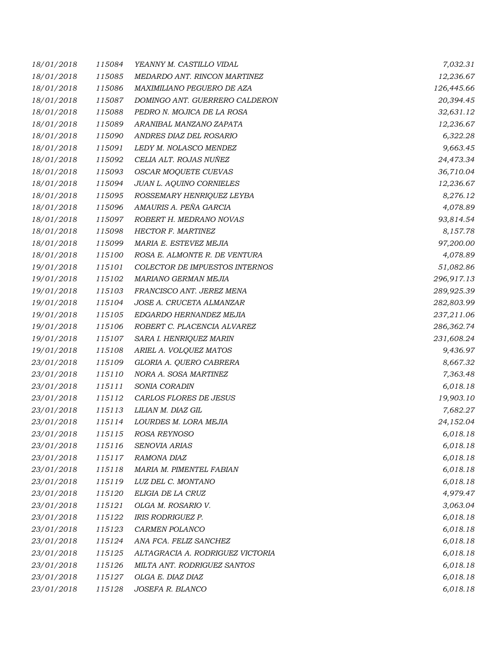| 18/01/2018 | 115084 | YEANNY M. CASTILLO VIDAL         | 7,032.31   |
|------------|--------|----------------------------------|------------|
| 18/01/2018 | 115085 | MEDARDO ANT. RINCON MARTINEZ     | 12,236.67  |
| 18/01/2018 | 115086 | MAXIMILIANO PEGUERO DE AZA       | 126,445.66 |
| 18/01/2018 | 115087 | DOMINGO ANT. GUERRERO CALDERON   | 20,394.45  |
| 18/01/2018 | 115088 | PEDRO N. MOJICA DE LA ROSA       | 32,631.12  |
| 18/01/2018 | 115089 | ARANIBAL MANZANO ZAPATA          | 12,236.67  |
| 18/01/2018 | 115090 | ANDRES DIAZ DEL ROSARIO          | 6,322.28   |
| 18/01/2018 | 115091 | LEDY M. NOLASCO MENDEZ           | 9,663.45   |
| 18/01/2018 | 115092 | CELIA ALT. ROJAS NUÑEZ           | 24,473.34  |
| 18/01/2018 | 115093 | OSCAR MOQUETE CUEVAS             | 36,710.04  |
| 18/01/2018 | 115094 | JUAN L. AQUINO CORNIELES         | 12,236.67  |
| 18/01/2018 | 115095 | ROSSEMARY HENRIQUEZ LEYBA        | 8,276.12   |
| 18/01/2018 | 115096 | AMAURIS A. PEÑA GARCIA           | 4,078.89   |
| 18/01/2018 | 115097 | ROBERT H. MEDRANO NOVAS          | 93,814.54  |
| 18/01/2018 | 115098 | HECTOR F. MARTINEZ               | 8,157.78   |
| 18/01/2018 | 115099 | MARIA E. ESTEVEZ MEJIA           | 97,200.00  |
| 18/01/2018 | 115100 | ROSA E. ALMONTE R. DE VENTURA    | 4,078.89   |
| 19/01/2018 | 115101 | COLECTOR DE IMPUESTOS INTERNOS   | 51,082.86  |
| 19/01/2018 | 115102 | MARIANO GERMAN MEJIA             | 296,917.13 |
| 19/01/2018 | 115103 | FRANCISCO ANT. JEREZ MENA        | 289,925.39 |
| 19/01/2018 | 115104 | JOSE A. CRUCETA ALMANZAR         | 282,803.99 |
| 19/01/2018 | 115105 | EDGARDO HERNANDEZ MEJIA          | 237,211.06 |
| 19/01/2018 | 115106 | ROBERT C. PLACENCIA ALVAREZ      | 286,362.74 |
| 19/01/2018 | 115107 | SARA I. HENRIQUEZ MARIN          | 231,608.24 |
| 19/01/2018 | 115108 | ARIEL A. VOLQUEZ MATOS           | 9,436.97   |
| 23/01/2018 | 115109 | GLORIA A. QUERO CABRERA          | 8,667.32   |
| 23/01/2018 | 115110 | NORA A. SOSA MARTINEZ            | 7,363.48   |
| 23/01/2018 | 115111 | SONIA CORADIN                    | 6,018.18   |
| 23/01/2018 | 115112 | CARLOS FLORES DE JESUS           | 19,903.10  |
| 23/01/2018 | 115113 | LILIAN M. DIAZ GIL               | 7,682.27   |
| 23/01/2018 | 115114 | LOURDES M. LORA MEJIA            | 24,152.04  |
| 23/01/2018 | 115115 | ROSA REYNOSO                     | 6,018.18   |
| 23/01/2018 | 115116 | SENOVIA ARIAS                    | 6,018.18   |
| 23/01/2018 | 115117 | RAMONA DIAZ                      | 6,018.18   |
| 23/01/2018 | 115118 | MARIA M. PIMENTEL FABIAN         | 6,018.18   |
| 23/01/2018 | 115119 | LUZ DEL C. MONTANO               | 6,018.18   |
| 23/01/2018 | 115120 | ELIGIA DE LA CRUZ                | 4,979.47   |
| 23/01/2018 | 115121 | OLGA M. ROSARIO V.               | 3,063.04   |
| 23/01/2018 | 115122 | IRIS RODRIGUEZ P.                | 6,018.18   |
| 23/01/2018 | 115123 | CARMEN POLANCO                   | 6,018.18   |
| 23/01/2018 | 115124 | ANA FCA. FELIZ SANCHEZ           | 6,018.18   |
| 23/01/2018 | 115125 | ALTAGRACIA A. RODRIGUEZ VICTORIA | 6,018.18   |
| 23/01/2018 | 115126 | MILTA ANT. RODRIGUEZ SANTOS      | 6,018.18   |
| 23/01/2018 | 115127 | OLGA E. DIAZ DIAZ                | 6,018.18   |
| 23/01/2018 | 115128 | JOSEFA R. BLANCO                 | 6,018.18   |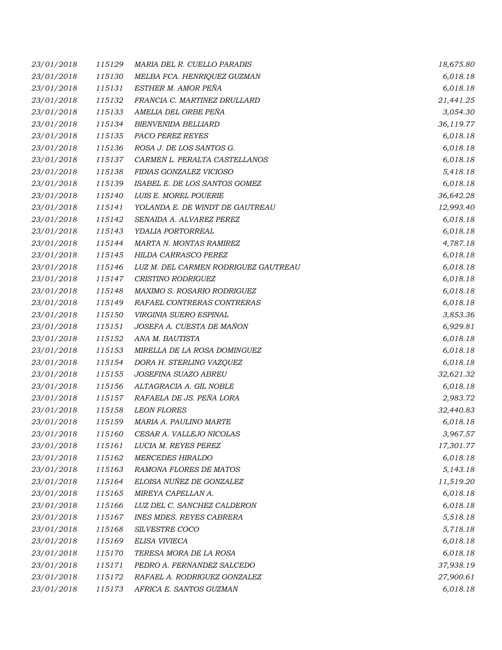| 23/01/2018 | 115129 | MARIA DEL R. CUELLO PARADIS          | 18,675.80 |
|------------|--------|--------------------------------------|-----------|
| 23/01/2018 | 115130 | MELBA FCA. HENRIQUEZ GUZMAN          | 6,018.18  |
| 23/01/2018 | 115131 | ESTHER M. AMOR PEÑA                  | 6,018.18  |
| 23/01/2018 | 115132 | FRANCIA C. MARTINEZ DRULLARD         | 21,441.25 |
| 23/01/2018 | 115133 | AMELIA DEL ORBE PEÑA                 | 3,054.30  |
| 23/01/2018 | 115134 | <b>BIENVENIDA BELLIARD</b>           | 36,119.77 |
| 23/01/2018 | 115135 | PACO PEREZ REYES                     | 6,018.18  |
| 23/01/2018 | 115136 | ROSA J. DE LOS SANTOS G.             | 6,018.18  |
| 23/01/2018 | 115137 | CARMEN L. PERALTA CASTELLANOS        | 6,018.18  |
| 23/01/2018 | 115138 | FIDIAS GONZALEZ VICIOSO              | 5,418.18  |
| 23/01/2018 | 115139 | ISABEL E. DE LOS SANTOS GOMEZ        | 6,018.18  |
| 23/01/2018 | 115140 | LUIS E. MOREL POUERIE                | 36,642.28 |
| 23/01/2018 | 115141 | YOLANDA E. DE WINDT DE GAUTREAU      | 12,993.40 |
| 23/01/2018 | 115142 | SENAIDA A. ALVAREZ PEREZ             | 6,018.18  |
| 23/01/2018 | 115143 | YDALIA PORTORREAL                    | 6,018.18  |
| 23/01/2018 | 115144 | <b>MARTA N. MONTAS RAMIREZ</b>       | 4,787.18  |
| 23/01/2018 | 115145 | HILDA CARRASCO PEREZ                 | 6,018.18  |
| 23/01/2018 | 115146 | LUZ M. DEL CARMEN RODRIGUEZ GAUTREAU | 6,018.18  |
| 23/01/2018 | 115147 | CRISTINO RODRIGUEZ                   | 6,018.18  |
| 23/01/2018 | 115148 | MAXIMO S. ROSARIO RODRIGUEZ          | 6,018.18  |
| 23/01/2018 | 115149 | RAFAEL CONTRERAS CONTRERAS           | 6,018.18  |
| 23/01/2018 | 115150 | VIRGINIA SUERO ESPINAL               | 3,853.36  |
| 23/01/2018 | 115151 | JOSEFA A. CUESTA DE MAÑON            | 6,929.81  |
| 23/01/2018 | 115152 | ANA M. BAUTISTA                      | 6,018.18  |
| 23/01/2018 | 115153 | MIRELLA DE LA ROSA DOMINGUEZ         | 6,018.18  |
| 23/01/2018 | 115154 | DORA H. STERLING VAZQUEZ             | 6,018.18  |
| 23/01/2018 | 115155 | JOSEFINA SUAZO ABREU                 | 32,621.32 |
| 23/01/2018 | 115156 | ALTAGRACIA A. GIL NOBLE              | 6,018.18  |
| 23/01/2018 | 115157 | RAFAELA DE JS. PEÑA LORA             | 2,983.72  |
| 23/01/2018 | 115158 | <b>LEON FLORES</b>                   | 32,440.83 |
| 23/01/2018 | 115159 | MARIA A. PAULINO MARTE               | 6,018.18  |
| 23/01/2018 | 115160 | CESAR A. VALLEJO NICOLAS             | 3,967.57  |
| 23/01/2018 | 115161 | LUCIA M. REYES PEREZ                 | 17,301.77 |
| 23/01/2018 | 115162 | <b>MERCEDES HIRALDO</b>              | 6,018.18  |
| 23/01/2018 | 115163 | RAMONA FLORES DE MATOS               | 5,143.18  |
| 23/01/2018 | 115164 | ELOISA NUÑEZ DE GONZALEZ             | 11,519.20 |
| 23/01/2018 | 115165 | MIREYA CAPELLAN A.                   | 6,018.18  |
| 23/01/2018 | 115166 | LUZ DEL C. SANCHEZ CALDERON          | 6,018.18  |
| 23/01/2018 | 115167 | <b>INES MDES. REYES CABRERA</b>      | 5,518.18  |
| 23/01/2018 | 115168 | SILVESTRE COCO                       | 5,718.18  |
| 23/01/2018 | 115169 | ELISA VIVIECA                        | 6,018.18  |
| 23/01/2018 | 115170 | TERESA MORA DE LA ROSA               | 6,018.18  |
| 23/01/2018 | 115171 | PEDRO A. FERNANDEZ SALCEDO           | 37,938.19 |
| 23/01/2018 | 115172 | RAFAEL A. RODRIGUEZ GONZALEZ         | 27,900.61 |
| 23/01/2018 | 115173 | AFRICA E. SANTOS GUZMAN              | 6,018.18  |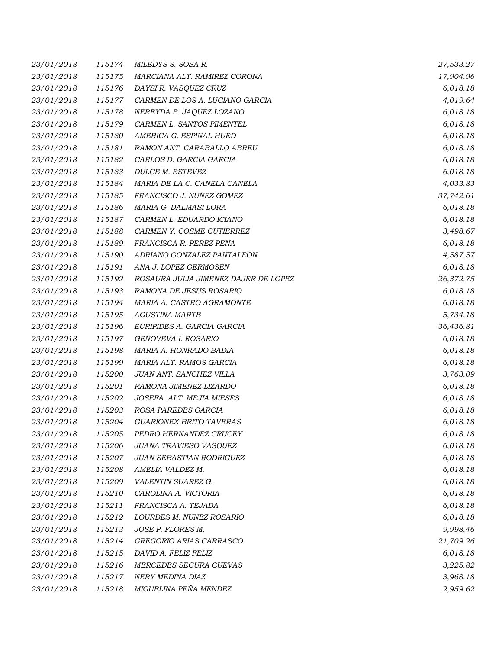| 23/01/2018 | 115174 | MILEDYS S. SOSA R.                   | 27,533.27 |
|------------|--------|--------------------------------------|-----------|
| 23/01/2018 | 115175 | MARCIANA ALT. RAMIREZ CORONA         | 17,904.96 |
| 23/01/2018 | 115176 | DAYSI R. VASQUEZ CRUZ                | 6,018.18  |
| 23/01/2018 | 115177 | CARMEN DE LOS A. LUCIANO GARCIA      | 4,019.64  |
| 23/01/2018 | 115178 | NEREYDA E. JAQUEZ LOZANO             | 6,018.18  |
| 23/01/2018 | 115179 | CARMEN L. SANTOS PIMENTEL            | 6,018.18  |
| 23/01/2018 | 115180 | AMERICA G. ESPINAL HUED              | 6,018.18  |
| 23/01/2018 | 115181 | RAMON ANT. CARABALLO ABREU           | 6,018.18  |
| 23/01/2018 | 115182 | CARLOS D. GARCIA GARCIA              | 6,018.18  |
| 23/01/2018 | 115183 | DULCE M. ESTEVEZ                     | 6,018.18  |
| 23/01/2018 | 115184 | MARIA DE LA C. CANELA CANELA         | 4,033.83  |
| 23/01/2018 | 115185 | FRANCISCO J. NUÑEZ GOMEZ             | 37,742.61 |
| 23/01/2018 | 115186 | MARIA G. DALMASI LORA                | 6,018.18  |
| 23/01/2018 | 115187 | CARMEN L. EDUARDO ICIANO             | 6,018.18  |
| 23/01/2018 | 115188 | CARMEN Y. COSME GUTIERREZ            | 3,498.67  |
| 23/01/2018 | 115189 | FRANCISCA R. PEREZ PEÑA              | 6,018.18  |
| 23/01/2018 | 115190 | ADRIANO GONZALEZ PANTALEON           | 4,587.57  |
| 23/01/2018 | 115191 | ANA J. LOPEZ GERMOSEN                | 6,018.18  |
| 23/01/2018 | 115192 | ROSAURA JULIA JIMENEZ DAJER DE LOPEZ | 26,372.75 |
| 23/01/2018 | 115193 | RAMONA DE JESUS ROSARIO              | 6,018.18  |
| 23/01/2018 | 115194 | MARIA A. CASTRO AGRAMONTE            | 6,018.18  |
| 23/01/2018 | 115195 | <b>AGUSTINA MARTE</b>                | 5,734.18  |
| 23/01/2018 | 115196 | EURIPIDES A. GARCIA GARCIA           | 36,436.81 |
| 23/01/2018 | 115197 | GENOVEVA I. ROSARIO                  | 6,018.18  |
| 23/01/2018 | 115198 | MARIA A. HONRADO BADIA               | 6,018.18  |
| 23/01/2018 | 115199 | MARIA ALT. RAMOS GARCIA              | 6,018.18  |
| 23/01/2018 | 115200 | JUAN ANT. SANCHEZ VILLA              | 3,763.09  |
| 23/01/2018 | 115201 | RAMONA JIMENEZ LIZARDO               | 6,018.18  |
| 23/01/2018 | 115202 | JOSEFA ALT. MEJIA MIESES             | 6,018.18  |
| 23/01/2018 | 115203 | ROSA PAREDES GARCIA                  | 6,018.18  |
| 23/01/2018 | 115204 | <b>GUARIONEX BRITO TAVERAS</b>       | 6,018.18  |
| 23/01/2018 | 115205 | PEDRO HERNANDEZ CRUCEY               | 6,018.18  |
| 23/01/2018 | 115206 | JUANA TRAVIESO VASQUEZ               | 6,018.18  |
| 23/01/2018 | 115207 | JUAN SEBASTIAN RODRIGUEZ             | 6,018.18  |
| 23/01/2018 | 115208 | AMELIA VALDEZ M.                     | 6,018.18  |
| 23/01/2018 | 115209 | VALENTIN SUAREZ G.                   | 6,018.18  |
| 23/01/2018 | 115210 | CAROLINA A. VICTORIA                 | 6,018.18  |
| 23/01/2018 | 115211 | FRANCISCA A. TEJADA                  | 6,018.18  |
| 23/01/2018 | 115212 | LOURDES M. NUÑEZ ROSARIO             | 6,018.18  |
| 23/01/2018 | 115213 | JOSE P. FLORES M.                    | 9,998.46  |
| 23/01/2018 | 115214 | GREGORIO ARIAS CARRASCO              | 21,709.26 |
| 23/01/2018 | 115215 | DAVID A. FELIZ FELIZ                 | 6,018.18  |
| 23/01/2018 | 115216 | MERCEDES SEGURA CUEVAS               | 3,225.82  |
| 23/01/2018 | 115217 | NERY MEDINA DIAZ                     | 3,968.18  |
| 23/01/2018 | 115218 | MIGUELINA PEÑA MENDEZ                | 2,959.62  |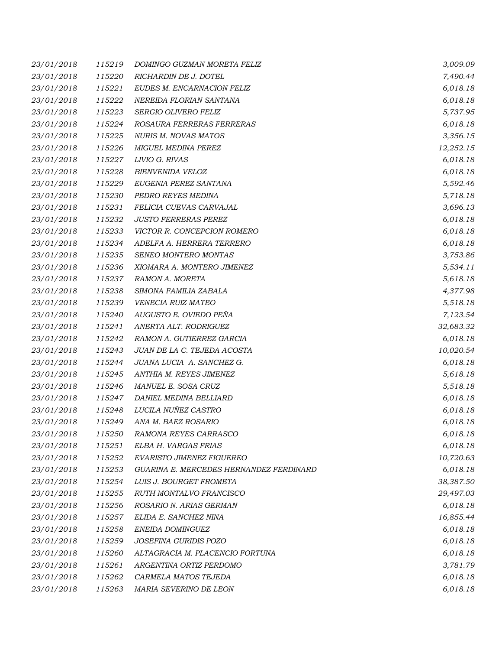| 23/01/2018 | 115219 | DOMINGO GUZMAN MORETA FELIZ             | 3,009.09  |
|------------|--------|-----------------------------------------|-----------|
| 23/01/2018 | 115220 | RICHARDIN DE J. DOTEL                   | 7,490.44  |
| 23/01/2018 | 115221 | EUDES M. ENCARNACION FELIZ              | 6,018.18  |
| 23/01/2018 | 115222 | NEREIDA FLORIAN SANTANA                 | 6,018.18  |
| 23/01/2018 | 115223 | SERGIO OLIVERO FELIZ                    | 5,737.95  |
| 23/01/2018 | 115224 | ROSAURA FERRERAS FERRERAS               | 6,018.18  |
| 23/01/2018 | 115225 | <b>NURIS M. NOVAS MATOS</b>             | 3,356.15  |
| 23/01/2018 | 115226 | MIGUEL MEDINA PEREZ                     | 12,252.15 |
| 23/01/2018 | 115227 | LIVIO G. RIVAS                          | 6,018.18  |
| 23/01/2018 | 115228 | <b>BIENVENIDA VELOZ</b>                 | 6,018.18  |
| 23/01/2018 | 115229 | EUGENIA PEREZ SANTANA                   | 5,592.46  |
| 23/01/2018 | 115230 | PEDRO REYES MEDINA                      | 5,718.18  |
| 23/01/2018 | 115231 | FELICIA CUEVAS CARVAJAL                 | 3,696.13  |
| 23/01/2018 | 115232 | <b>JUSTO FERRERAS PEREZ</b>             | 6,018.18  |
| 23/01/2018 | 115233 | VICTOR R. CONCEPCION ROMERO             | 6,018.18  |
| 23/01/2018 | 115234 | ADELFA A. HERRERA TERRERO               | 6,018.18  |
| 23/01/2018 | 115235 | SENEO MONTERO MONTAS                    | 3,753.86  |
| 23/01/2018 | 115236 | XIOMARA A. MONTERO JIMENEZ              | 5,534.11  |
| 23/01/2018 | 115237 | RAMON A. MORETA                         | 5,618.18  |
| 23/01/2018 | 115238 | SIMONA FAMILIA ZABALA                   | 4,377.98  |
| 23/01/2018 | 115239 | VENECIA RUIZ MATEO                      | 5,518.18  |
| 23/01/2018 | 115240 | AUGUSTO E. OVIEDO PEÑA                  | 7,123.54  |
| 23/01/2018 | 115241 | ANERTA ALT. RODRIGUEZ                   | 32,683.32 |
| 23/01/2018 | 115242 | RAMON A. GUTIERREZ GARCIA               | 6,018.18  |
| 23/01/2018 | 115243 | JUAN DE LA C. TEJEDA ACOSTA             | 10,020.54 |
| 23/01/2018 | 115244 | JUANA LUCIA A. SANCHEZ G.               | 6,018.18  |
| 23/01/2018 | 115245 | ANTHIA M. REYES JIMENEZ                 | 5,618.18  |
| 23/01/2018 | 115246 | MANUEL E. SOSA CRUZ                     | 5,518.18  |
| 23/01/2018 | 115247 | DANIEL MEDINA BELLIARD                  | 6,018.18  |
| 23/01/2018 | 115248 | LUCILA NUÑEZ CASTRO                     | 6,018.18  |
| 23/01/2018 | 115249 | ANA M. BAEZ ROSARIO                     | 6,018.18  |
| 23/01/2018 | 115250 | RAMONA REYES CARRASCO                   | 6,018.18  |
| 23/01/2018 | 115251 | ELBA H. VARGAS FRIAS                    | 6,018.18  |
| 23/01/2018 | 115252 | EVARISTO JIMENEZ FIGUEREO               | 10,720.63 |
| 23/01/2018 | 115253 | GUARINA E. MERCEDES HERNANDEZ FERDINARD | 6,018.18  |
| 23/01/2018 | 115254 | LUIS J. BOURGET FROMETA                 | 38,387.50 |
| 23/01/2018 | 115255 | RUTH MONTALVO FRANCISCO                 | 29,497.03 |
| 23/01/2018 | 115256 | ROSARIO N. ARIAS GERMAN                 | 6,018.18  |
| 23/01/2018 | 115257 | ELIDA E. SANCHEZ NINA                   | 16,855.44 |
| 23/01/2018 | 115258 | ENEIDA DOMINGUEZ                        | 6,018.18  |
| 23/01/2018 | 115259 | JOSEFINA GURIDIS POZO                   | 6,018.18  |
| 23/01/2018 | 115260 | ALTAGRACIA M. PLACENCIO FORTUNA         | 6,018.18  |
| 23/01/2018 | 115261 | ARGENTINA ORTIZ PERDOMO                 | 3,781.79  |
| 23/01/2018 | 115262 | CARMELA MATOS TEJEDA                    | 6,018.18  |
| 23/01/2018 | 115263 | MARIA SEVERINO DE LEON                  | 6,018.18  |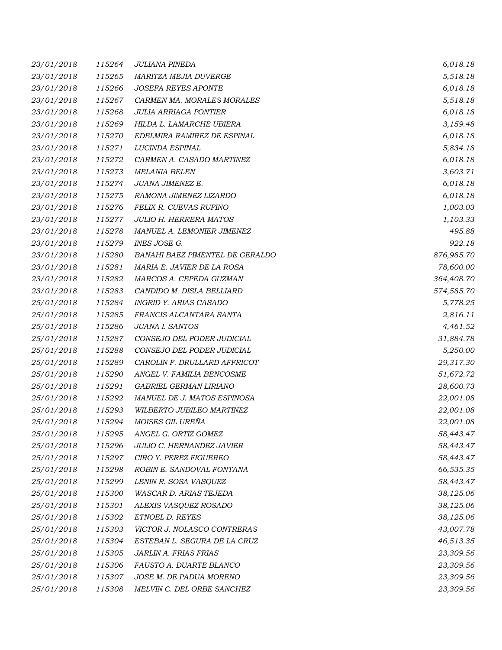| 23/01/2018 | 115264 | <b>JULIANA PINEDA</b>           | 6,018.18   |
|------------|--------|---------------------------------|------------|
| 23/01/2018 | 115265 | MARITZA MEJIA DUVERGE           | 5,518.18   |
| 23/01/2018 | 115266 | <b>JOSEFA REYES APONTE</b>      | 6,018.18   |
| 23/01/2018 | 115267 | CARMEN MA. MORALES MORALES      | 5,518.18   |
| 23/01/2018 | 115268 | <b>JULIA ARRIAGA PONTIER</b>    | 6,018.18   |
| 23/01/2018 | 115269 | HILDA L. LAMARCHE UBIERA        | 3,159.48   |
| 23/01/2018 | 115270 | EDELMIRA RAMIREZ DE ESPINAL     | 6,018.18   |
| 23/01/2018 | 115271 | LUCINDA ESPINAL                 | 5,834.18   |
| 23/01/2018 | 115272 | CARMEN A. CASADO MARTINEZ       | 6,018.18   |
| 23/01/2018 | 115273 | <b>MELANIA BELEN</b>            | 3,603.71   |
| 23/01/2018 | 115274 | JUANA JIMENEZ E.                | 6,018.18   |
| 23/01/2018 | 115275 | RAMONA JIMENEZ LIZARDO          | 6,018.18   |
| 23/01/2018 | 115276 | FELIX R. CUEVAS RUFINO          | 1,003.03   |
| 23/01/2018 | 115277 | <b>JULIO H. HERRERA MATOS</b>   | 1,103.33   |
| 23/01/2018 | 115278 | MANUEL A. LEMONIER JIMENEZ      | 495.88     |
| 23/01/2018 | 115279 | <b>INES JOSE G.</b>             | 922.18     |
| 23/01/2018 | 115280 | BANAHI BAEZ PIMENTEL DE GERALDO | 876,985.70 |
| 23/01/2018 | 115281 | MARIA E. JAVIER DE LA ROSA      | 78,600.00  |
| 23/01/2018 | 115282 | MARCOS A. CEPEDA GUZMAN         | 364,408.70 |
| 23/01/2018 | 115283 | CANDIDO M. DISLA BELLIARD       | 574,585.70 |
| 25/01/2018 | 115284 | INGRID Y. ARIAS CASADO          | 5,778.25   |
| 25/01/2018 | 115285 | FRANCIS ALCANTARA SANTA         | 2,816.11   |
| 25/01/2018 | 115286 | JUANA I. SANTOS                 | 4,461.52   |
| 25/01/2018 | 115287 | CONSEJO DEL PODER JUDICIAL      | 31,884.78  |
| 25/01/2018 | 115288 | CONSEJO DEL PODER JUDICIAL      | 5,250.00   |
| 25/01/2018 | 115289 | CAROLIN F. DRULLARD AFFRICOT    | 29,317.30  |
| 25/01/2018 | 115290 | ANGEL V. FAMILIA BENCOSME       | 51,672.72  |
| 25/01/2018 | 115291 | GABRIEL GERMAN LIRIANO          | 28,600.73  |
| 25/01/2018 | 115292 | MANUEL DE J. MATOS ESPINOSA     | 22,001.08  |
| 25/01/2018 | 115293 | WILBERTO JUBILEO MARTINEZ       | 22,001.08  |
| 25/01/2018 | 115294 | MOISES GIL UREÑA                | 22,001.08  |
| 25/01/2018 | 115295 | ANGEL G. ORTIZ GOMEZ            | 58,443.47  |
| 25/01/2018 | 115296 | JULIO C. HERNANDEZ JAVIER       | 58,443.47  |
| 25/01/2018 | 115297 | CIRO Y. PEREZ FIGUEREO          | 58,443.47  |
| 25/01/2018 | 115298 | ROBIN E. SANDOVAL FONTANA       | 66,535.35  |
| 25/01/2018 | 115299 | LENIN R. SOSA VASQUEZ           | 58,443.47  |
| 25/01/2018 | 115300 | <b>WASCAR D. ARIAS TEJEDA</b>   | 38,125.06  |
| 25/01/2018 | 115301 | ALEXIS VASQUEZ ROSADO           | 38,125.06  |
| 25/01/2018 | 115302 | ETNOEL D. REYES                 | 38,125.06  |
| 25/01/2018 | 115303 | VICTOR J. NOLASCO CONTRERAS     | 43,007.78  |
| 25/01/2018 | 115304 | ESTEBAN L. SEGURA DE LA CRUZ    | 46,513.35  |
| 25/01/2018 | 115305 | JARLIN A. FRIAS FRIAS           | 23,309.56  |
| 25/01/2018 | 115306 | FAUSTO A. DUARTE BLANCO         | 23,309.56  |
| 25/01/2018 | 115307 | JOSE M. DE PADUA MORENO         | 23,309.56  |
| 25/01/2018 | 115308 | MELVIN C. DEL ORBE SANCHEZ      | 23,309.56  |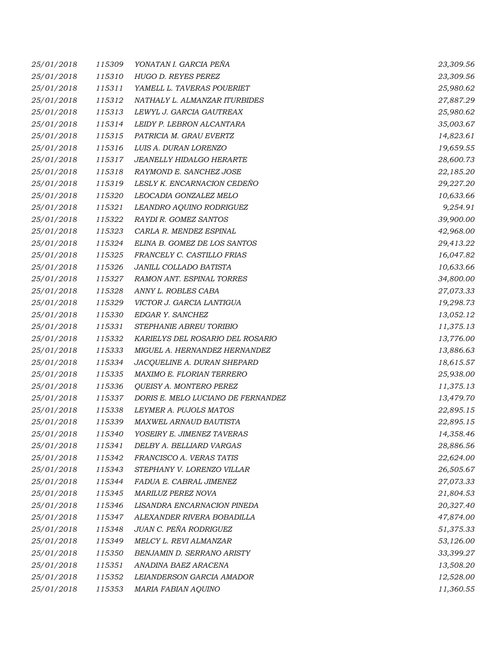| 25/01/2018 | 115309 | YONATAN I. GARCIA PEÑA             | 23,309.56 |
|------------|--------|------------------------------------|-----------|
| 25/01/2018 | 115310 | HUGO D. REYES PEREZ                | 23,309.56 |
| 25/01/2018 | 115311 | YAMELL L. TAVERAS POUERIET         | 25,980.62 |
| 25/01/2018 | 115312 | NATHALY L. ALMANZAR ITURBIDES      | 27,887.29 |
| 25/01/2018 | 115313 | LEWYL J. GARCIA GAUTREAX           | 25,980.62 |
| 25/01/2018 | 115314 | LEIDY P. LEBRON ALCANTARA          | 35,003.67 |
| 25/01/2018 | 115315 | PATRICIA M. GRAU EVERTZ            | 14,823.61 |
| 25/01/2018 | 115316 | LUIS A. DURAN LORENZO              | 19,659.55 |
| 25/01/2018 | 115317 | JEANELLY HIDALGO HERARTE           | 28,600.73 |
| 25/01/2018 | 115318 | RAYMOND E. SANCHEZ JOSE            | 22,185.20 |
| 25/01/2018 | 115319 | LESLY K. ENCARNACION CEDEÑO        | 29,227.20 |
| 25/01/2018 | 115320 | LEOCADIA GONZALEZ MELO             | 10,633.66 |
| 25/01/2018 | 115321 | LEANDRO AQUINO RODRIGUEZ           | 9,254.91  |
| 25/01/2018 | 115322 | RAYDI R. GOMEZ SANTOS              | 39,900.00 |
| 25/01/2018 | 115323 | CARLA R. MENDEZ ESPINAL            | 42,968.00 |
| 25/01/2018 | 115324 | ELINA B. GOMEZ DE LOS SANTOS       | 29,413.22 |
| 25/01/2018 | 115325 | FRANCELY C. CASTILLO FRIAS         | 16,047.82 |
| 25/01/2018 | 115326 | JANILL COLLADO BATISTA             | 10,633.66 |
| 25/01/2018 | 115327 | RAMON ANT. ESPINAL TORRES          | 34,800.00 |
| 25/01/2018 | 115328 | ANNY L. ROBLES CABA                | 27,073.33 |
| 25/01/2018 | 115329 | VICTOR J. GARCIA LANTIGUA          | 19,298.73 |
| 25/01/2018 | 115330 | EDGAR Y. SANCHEZ                   | 13,052.12 |
| 25/01/2018 | 115331 | STEPHANIE ABREU TORIBIO            | 11,375.13 |
| 25/01/2018 | 115332 | KARIELYS DEL ROSARIO DEL ROSARIO   | 13,776.00 |
| 25/01/2018 | 115333 | MIGUEL A. HERNANDEZ HERNANDEZ      | 13,886.63 |
| 25/01/2018 | 115334 | JACQUELINE A. DURAN SHEPARD        | 18,615.57 |
| 25/01/2018 | 115335 | MAXIMO E. FLORIAN TERRERO          | 25,938.00 |
| 25/01/2018 | 115336 | QUEISY A. MONTERO PEREZ            | 11,375.13 |
| 25/01/2018 | 115337 | DORIS E. MELO LUCIANO DE FERNANDEZ | 13,479.70 |
| 25/01/2018 | 115338 | LEYMER A. PUJOLS MATOS             | 22,895.15 |
| 25/01/2018 | 115339 | MAXWEL ARNAUD BAUTISTA             | 22,895.15 |
| 25/01/2018 | 115340 | YOSEIRY E. JIMENEZ TAVERAS         | 14,358.46 |
| 25/01/2018 | 115341 | DELBY A. BELLIARD VARGAS           | 28,886.56 |
| 25/01/2018 | 115342 | FRANCISCO A. VERAS TATIS           | 22,624.00 |
| 25/01/2018 | 115343 | STEPHANY V. LORENZO VILLAR         | 26,505.67 |
| 25/01/2018 | 115344 | FADUA E. CABRAL JIMENEZ            | 27,073.33 |
| 25/01/2018 | 115345 | MARILUZ PEREZ NOVA                 | 21,804.53 |
| 25/01/2018 | 115346 | LISANDRA ENCARNACION PINEDA        | 20,327.40 |
| 25/01/2018 | 115347 | ALEXANDER RIVERA BOBADILLA         | 47,874.00 |
| 25/01/2018 | 115348 | JUAN C. PEÑA RODRIGUEZ             | 51,375.33 |
| 25/01/2018 | 115349 | MELCY L. REVI ALMANZAR             | 53,126.00 |
| 25/01/2018 | 115350 | <b>BENJAMIN D. SERRANO ARISTY</b>  | 33,399.27 |
| 25/01/2018 | 115351 | ANADINA BAEZ ARACENA               | 13,508.20 |
| 25/01/2018 | 115352 | LEIANDERSON GARCIA AMADOR          | 12,528.00 |
| 25/01/2018 | 115353 | MARIA FABIAN AQUINO                | 11,360.55 |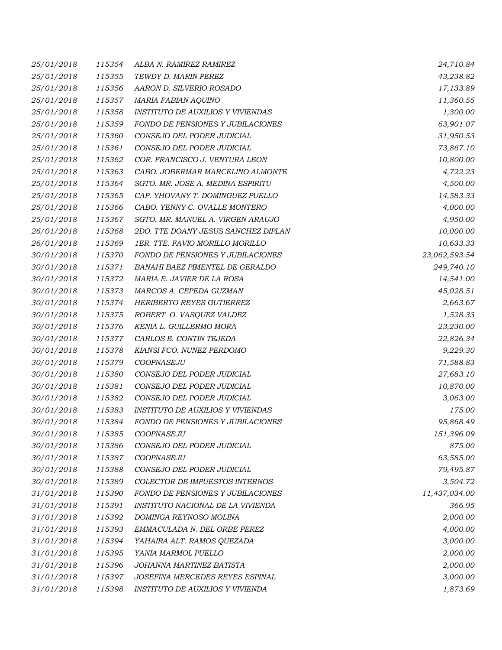| 25/01/2018 | 115354 | ALBA N. RAMIREZ RAMIREZ                  | 24,710.84     |
|------------|--------|------------------------------------------|---------------|
| 25/01/2018 | 115355 | TEWDY D. MARIN PEREZ                     | 43,238.82     |
| 25/01/2018 | 115356 | AARON D. SILVERIO ROSADO                 | 17,133.89     |
| 25/01/2018 | 115357 | MARIA FABIAN AQUINO                      | 11,360.55     |
| 25/01/2018 | 115358 | <b>INSTITUTO DE AUXILIOS Y VIVIENDAS</b> | 1,300.00      |
| 25/01/2018 | 115359 | FONDO DE PENSIONES Y JUBILACIONES        | 63,901.07     |
| 25/01/2018 | 115360 | CONSEJO DEL PODER JUDICIAL               | 31,950.53     |
| 25/01/2018 | 115361 | CONSEJO DEL PODER JUDICIAL               | 73,867.10     |
| 25/01/2018 | 115362 | COR. FRANCISCO J. VENTURA LEON           | 10,800.00     |
| 25/01/2018 | 115363 | CABO. JOBERMAR MARCELINO ALMONTE         | 4,722.23      |
| 25/01/2018 | 115364 | SGTO. MR. JOSE A. MEDINA ESPIRITU        | 4,500.00      |
| 25/01/2018 | 115365 | CAP. YHOVANY T. DOMINGUEZ PUELLO         | 14,583.33     |
| 25/01/2018 | 115366 | CABO. YENNY C. OVALLE MONTERO            | 4,000.00      |
| 25/01/2018 | 115367 | SGTO. MR. MANUEL A. VIRGEN ARAUJO        | 4,950.00      |
| 26/01/2018 | 115368 | 2DO. TTE DOANY JESUS SANCHEZ DIPLAN      | 10,000.00     |
| 26/01/2018 | 115369 | 1ER. TTE. FAVIO MORILLO MORILLO          | 10,633.33     |
| 30/01/2018 | 115370 | FONDO DE PENSIONES Y JUBILACIONES        | 23,062,593.54 |
| 30/01/2018 | 115371 | BANAHI BAEZ PIMENTEL DE GERALDO          | 249,740.10    |
| 30/01/2018 | 115372 | MARIA E. JAVIER DE LA ROSA               | 14,541.00     |
| 30/01/2018 | 115373 | MARCOS A. CEPEDA GUZMAN                  | 45,028.51     |
| 30/01/2018 | 115374 | HERIBERTO REYES GUTIERREZ                | 2,663.67      |
| 30/01/2018 | 115375 | ROBERT O. VASQUEZ VALDEZ                 | 1,528.33      |
| 30/01/2018 | 115376 | KENIA L. GUILLERMO MORA                  | 23,230.00     |
| 30/01/2018 | 115377 | CARLOS E. CONTIN TEJEDA                  | 22,826.34     |
| 30/01/2018 | 115378 | KIANSI FCO. NUNEZ PERDOMO                | 9,229.30      |
| 30/01/2018 | 115379 | COOPNASEJU                               | 71,588.83     |
| 30/01/2018 | 115380 | CONSEJO DEL PODER JUDICIAL               | 27,683.10     |
| 30/01/2018 | 115381 | CONSEJO DEL PODER JUDICIAL               | 10,870.00     |
| 30/01/2018 | 115382 | CONSEJO DEL PODER JUDICIAL               | 3,063.00      |
| 30/01/2018 | 115383 | <b>INSTITUTO DE AUXILIOS Y VIVIENDAS</b> | 175.00        |
| 30/01/2018 | 115384 | FONDO DE PENSIONES Y JUBILACIONES        | 95,868.49     |
| 30/01/2018 | 115385 | COOPNASEJU                               | 151,396.09    |
| 30/01/2018 | 115386 | CONSEJO DEL PODER JUDICIAL               | 875.00        |
| 30/01/2018 | 115387 | COOPNASEJU                               | 63,585.00     |
| 30/01/2018 | 115388 | CONSEJO DEL PODER JUDICIAL               | 79,495.87     |
| 30/01/2018 | 115389 | COLECTOR DE IMPUESTOS INTERNOS           | 3,504.72      |
| 31/01/2018 | 115390 | FONDO DE PENSIONES Y JUBILACIONES        | 11,437,034.00 |
| 31/01/2018 | 115391 | INSTITUTO NACIONAL DE LA VIVIENDA        | 366.95        |
| 31/01/2018 | 115392 | DOMINGA REYNOSO MOLINA                   | 2,000.00      |
| 31/01/2018 | 115393 | EMMACULADA N. DEL ORBE PEREZ             | 4,000.00      |
| 31/01/2018 | 115394 | YAHAIRA ALT. RAMOS QUEZADA               | 3,000.00      |
| 31/01/2018 | 115395 | YANIA MARMOL PUELLO                      | 2,000.00      |
| 31/01/2018 | 115396 | JOHANNA MARTINEZ BATISTA                 | 2,000.00      |
| 31/01/2018 | 115397 | JOSEFINA MERCEDES REYES ESPINAL          | 3,000.00      |
| 31/01/2018 | 115398 | INSTITUTO DE AUXILIOS Y VIVIENDA         | 1,873.69      |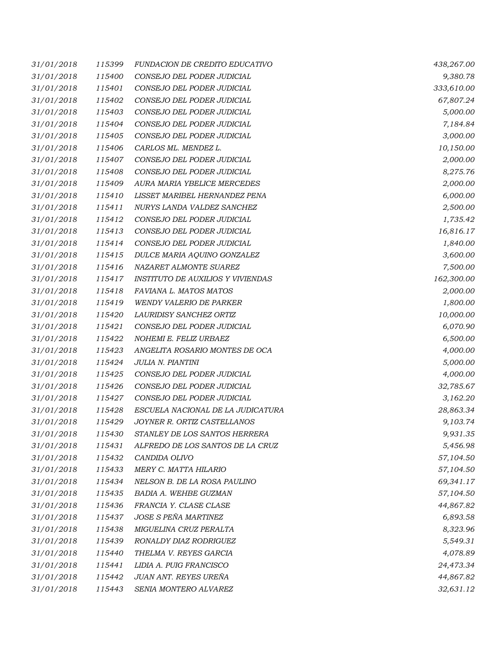| 31/01/2018 | 115399 | <b>FUNDACION DE CREDITO EDUCATIVO</b>    | 438,267.00 |
|------------|--------|------------------------------------------|------------|
| 31/01/2018 | 115400 | CONSEJO DEL PODER JUDICIAL               | 9,380.78   |
| 31/01/2018 | 115401 | CONSEJO DEL PODER JUDICIAL               | 333,610.00 |
| 31/01/2018 | 115402 | CONSEJO DEL PODER JUDICIAL               | 67,807.24  |
| 31/01/2018 | 115403 | CONSEJO DEL PODER JUDICIAL               | 5,000.00   |
| 31/01/2018 | 115404 | CONSEJO DEL PODER JUDICIAL               | 7,184.84   |
| 31/01/2018 | 115405 | CONSEJO DEL PODER JUDICIAL               | 3,000.00   |
| 31/01/2018 | 115406 | CARLOS ML. MENDEZ L.                     | 10,150.00  |
| 31/01/2018 | 115407 | CONSEJO DEL PODER JUDICIAL               | 2,000.00   |
| 31/01/2018 | 115408 | CONSEJO DEL PODER JUDICIAL               | 8,275.76   |
| 31/01/2018 | 115409 | AURA MARIA YBELICE MERCEDES              | 2,000.00   |
| 31/01/2018 | 115410 | LISSET MARIBEL HERNANDEZ PENA            | 6,000.00   |
| 31/01/2018 | 115411 | NURYS LANDA VALDEZ SANCHEZ               | 2,500.00   |
| 31/01/2018 | 115412 | CONSEJO DEL PODER JUDICIAL               | 1,735.42   |
| 31/01/2018 | 115413 | CONSEJO DEL PODER JUDICIAL               | 16,816.17  |
| 31/01/2018 | 115414 | CONSEJO DEL PODER JUDICIAL               | 1,840.00   |
| 31/01/2018 | 115415 | DULCE MARIA AQUINO GONZALEZ              | 3,600.00   |
| 31/01/2018 | 115416 | NAZARET ALMONTE SUAREZ                   | 7,500.00   |
| 31/01/2018 | 115417 | <b>INSTITUTO DE AUXILIOS Y VIVIENDAS</b> | 162,300.00 |
| 31/01/2018 | 115418 | FAVIANA L. MATOS MATOS                   | 2,000.00   |
| 31/01/2018 | 115419 | <b>WENDY VALERIO DE PARKER</b>           | 1,800.00   |
| 31/01/2018 | 115420 | LAURIDISY SANCHEZ ORTIZ                  | 10,000.00  |
| 31/01/2018 | 115421 | CONSEJO DEL PODER JUDICIAL               | 6,070.90   |
| 31/01/2018 | 115422 | NOHEMI E. FELIZ URBAEZ                   | 6,500.00   |
| 31/01/2018 | 115423 | ANGELITA ROSARIO MONTES DE OCA           | 4,000.00   |
| 31/01/2018 | 115424 | JULIA N. PIANTINI                        | 5,000.00   |
| 31/01/2018 | 115425 | CONSEJO DEL PODER JUDICIAL               | 4,000.00   |
| 31/01/2018 | 115426 | CONSEJO DEL PODER JUDICIAL               | 32,785.67  |
| 31/01/2018 | 115427 | CONSEJO DEL PODER JUDICIAL               | 3,162.20   |
| 31/01/2018 | 115428 | ESCUELA NACIONAL DE LA JUDICATURA        | 28,863.34  |
| 31/01/2018 | 115429 | JOYNER R. ORTIZ CASTELLANOS              | 9,103.74   |
| 31/01/2018 | 115430 | STANLEY DE LOS SANTOS HERRERA            | 9,931.35   |
| 31/01/2018 | 115431 | ALFREDO DE LOS SANTOS DE LA CRUZ         | 5,456.98   |
| 31/01/2018 | 115432 | CANDIDA OLIVO                            | 57,104.50  |
| 31/01/2018 | 115433 | MERY C. MATTA HILARIO                    | 57,104.50  |
| 31/01/2018 | 115434 | NELSON B. DE LA ROSA PAULINO             | 69,341.17  |
| 31/01/2018 | 115435 | BADIA A. WEHBE GUZMAN                    | 57,104.50  |
| 31/01/2018 | 115436 | FRANCIA Y. CLASE CLASE                   | 44,867.82  |
| 31/01/2018 | 115437 | JOSE S PEÑA MARTINEZ                     | 6,893.58   |
| 31/01/2018 | 115438 | MIGUELINA CRUZ PERALTA                   | 8,323.96   |
| 31/01/2018 | 115439 | RONALDY DIAZ RODRIGUEZ                   | 5,549.31   |
| 31/01/2018 | 115440 | THELMA V. REYES GARCIA                   | 4,078.89   |
| 31/01/2018 | 115441 | LIDIA A. PUIG FRANCISCO                  | 24,473.34  |
| 31/01/2018 | 115442 | JUAN ANT. REYES UREÑA                    | 44,867.82  |
| 31/01/2018 | 115443 | SENIA MONTERO ALVAREZ                    | 32,631.12  |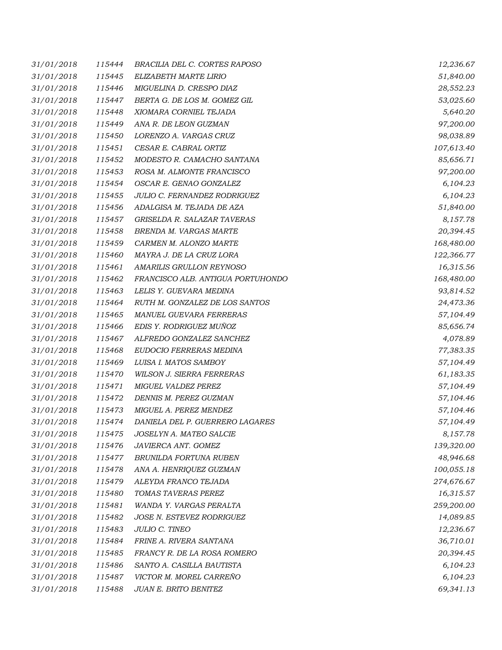| 31/01/2018 | 115444 | BRACILIA DEL C. CORTES RAPOSO     | 12,236.67  |
|------------|--------|-----------------------------------|------------|
| 31/01/2018 | 115445 | ELIZABETH MARTE LIRIO             | 51,840.00  |
| 31/01/2018 | 115446 | MIGUELINA D. CRESPO DIAZ          | 28,552.23  |
| 31/01/2018 | 115447 | BERTA G. DE LOS M. GOMEZ GIL      | 53,025.60  |
| 31/01/2018 | 115448 | XIOMARA CORNIEL TEJADA            | 5,640.20   |
| 31/01/2018 | 115449 | ANA R. DE LEON GUZMAN             | 97,200.00  |
| 31/01/2018 | 115450 | LORENZO A. VARGAS CRUZ            | 98,038.89  |
| 31/01/2018 | 115451 | CESAR E. CABRAL ORTIZ             | 107,613.40 |
| 31/01/2018 | 115452 | MODESTO R. CAMACHO SANTANA        | 85,656.71  |
| 31/01/2018 | 115453 | ROSA M. ALMONTE FRANCISCO         | 97,200.00  |
| 31/01/2018 | 115454 | OSCAR E. GENAO GONZALEZ           | 6,104.23   |
| 31/01/2018 | 115455 | JULIO C. FERNANDEZ RODRIGUEZ      | 6,104.23   |
| 31/01/2018 | 115456 | ADALGISA M. TEJADA DE AZA         | 51,840.00  |
| 31/01/2018 | 115457 | GRISELDA R. SALAZAR TAVERAS       | 8,157.78   |
| 31/01/2018 | 115458 | BRENDA M. VARGAS MARTE            | 20,394.45  |
| 31/01/2018 | 115459 | CARMEN M. ALONZO MARTE            | 168,480.00 |
| 31/01/2018 | 115460 | MAYRA J. DE LA CRUZ LORA          | 122,366.77 |
| 31/01/2018 | 115461 | AMARILIS GRULLON REYNOSO          | 16,315.56  |
| 31/01/2018 | 115462 | FRANCISCO ALB. ANTIGUA PORTUHONDO | 168,480.00 |
| 31/01/2018 | 115463 | LELIS Y. GUEVARA MEDINA           | 93,814.52  |
| 31/01/2018 | 115464 | RUTH M. GONZALEZ DE LOS SANTOS    | 24,473.36  |
| 31/01/2018 | 115465 | MANUEL GUEVARA FERRERAS           | 57,104.49  |
| 31/01/2018 | 115466 | EDIS Y. RODRIGUEZ MUÑOZ           | 85,656.74  |
| 31/01/2018 | 115467 | ALFREDO GONZALEZ SANCHEZ          | 4,078.89   |
| 31/01/2018 | 115468 | EUDOCIO FERRERAS MEDINA           | 77,383.35  |
| 31/01/2018 | 115469 | LUISA I. MATOS SAMBOY             | 57,104.49  |
| 31/01/2018 | 115470 | <b>WILSON J. SIERRA FERRERAS</b>  | 61,183.35  |
| 31/01/2018 | 115471 | MIGUEL VALDEZ PEREZ               | 57,104.49  |
| 31/01/2018 | 115472 | DENNIS M. PEREZ GUZMAN            | 57,104.46  |
| 31/01/2018 | 115473 | MIGUEL A. PEREZ MENDEZ            | 57,104.46  |
| 31/01/2018 | 115474 | DANIELA DEL P. GUERRERO LAGARES   | 57,104.49  |
| 31/01/2018 | 115475 | JOSELYN A. MATEO SALCIE           | 8,157.78   |
| 31/01/2018 | 115476 | JAVIERCA ANT. GOMEZ               | 139,320.00 |
| 31/01/2018 | 115477 | BRUNILDA FORTUNA RUBEN            | 48,946.68  |
| 31/01/2018 | 115478 | ANA A. HENRIQUEZ GUZMAN           | 100,055.18 |
| 31/01/2018 | 115479 | ALEYDA FRANCO TEJADA              | 274,676.67 |
| 31/01/2018 | 115480 | TOMAS TAVERAS PEREZ               | 16,315.57  |
| 31/01/2018 | 115481 | WANDA Y. VARGAS PERALTA           | 259,200.00 |
| 31/01/2018 | 115482 | JOSE N. ESTEVEZ RODRIGUEZ         | 14,089.85  |
| 31/01/2018 | 115483 | <b>JULIO C. TINEO</b>             | 12,236.67  |
| 31/01/2018 | 115484 | FRINE A. RIVERA SANTANA           | 36,710.01  |
| 31/01/2018 | 115485 | FRANCY R. DE LA ROSA ROMERO       | 20,394.45  |
| 31/01/2018 | 115486 | SANTO A. CASILLA BAUTISTA         | 6,104.23   |
| 31/01/2018 | 115487 | VICTOR M. MOREL CARREÑO           | 6,104.23   |
| 31/01/2018 | 115488 | JUAN E. BRITO BENITEZ             | 69,341.13  |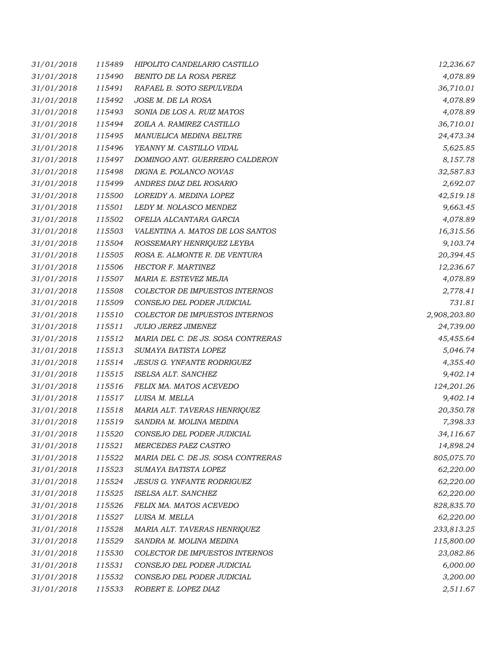| 31/01/2018 | 115489 | HIPOLITO CANDELARIO CASTILLO       | 12,236.67    |
|------------|--------|------------------------------------|--------------|
| 31/01/2018 | 115490 | BENITO DE LA ROSA PEREZ            | 4,078.89     |
| 31/01/2018 | 115491 | RAFAEL B. SOTO SEPULVEDA           | 36,710.01    |
| 31/01/2018 | 115492 | JOSE M. DE LA ROSA                 | 4,078.89     |
| 31/01/2018 | 115493 | SONIA DE LOS A. RUIZ MATOS         | 4,078.89     |
| 31/01/2018 | 115494 | ZOILA A. RAMIREZ CASTILLO          | 36,710.01    |
| 31/01/2018 | 115495 | MANUELICA MEDINA BELTRE            | 24,473.34    |
| 31/01/2018 | 115496 | YEANNY M. CASTILLO VIDAL           | 5,625.85     |
| 31/01/2018 | 115497 | DOMINGO ANT. GUERRERO CALDERON     | 8,157.78     |
| 31/01/2018 | 115498 | DIGNA E. POLANCO NOVAS             | 32,587.83    |
| 31/01/2018 | 115499 | ANDRES DIAZ DEL ROSARIO            | 2,692.07     |
| 31/01/2018 | 115500 | LOREIDY A. MEDINA LOPEZ            | 42,519.18    |
| 31/01/2018 | 115501 | LEDY M. NOLASCO MENDEZ             | 9,663.45     |
| 31/01/2018 | 115502 | OFELIA ALCANTARA GARCIA            | 4,078.89     |
| 31/01/2018 | 115503 | VALENTINA A. MATOS DE LOS SANTOS   | 16,315.56    |
| 31/01/2018 | 115504 | ROSSEMARY HENRIQUEZ LEYBA          | 9,103.74     |
| 31/01/2018 | 115505 | ROSA E. ALMONTE R. DE VENTURA      | 20,394.45    |
| 31/01/2018 | 115506 | HECTOR F. MARTINEZ                 | 12,236.67    |
| 31/01/2018 | 115507 | MARIA E. ESTEVEZ MEJIA             | 4,078.89     |
| 31/01/2018 | 115508 | COLECTOR DE IMPUESTOS INTERNOS     | 2,778.41     |
| 31/01/2018 | 115509 | CONSEJO DEL PODER JUDICIAL         | 731.81       |
| 31/01/2018 | 115510 | COLECTOR DE IMPUESTOS INTERNOS     | 2,908,203.80 |
| 31/01/2018 | 115511 | <b>JULIO JEREZ JIMENEZ</b>         | 24,739.00    |
| 31/01/2018 | 115512 | MARIA DEL C. DE JS. SOSA CONTRERAS | 45,455.64    |
| 31/01/2018 | 115513 | SUMAYA BATISTA LOPEZ               | 5,046.74     |
| 31/01/2018 | 115514 | <b>JESUS G. YNFANTE RODRIGUEZ</b>  | 4,355.40     |
| 31/01/2018 | 115515 | ISELSA ALT. SANCHEZ                | 9,402.14     |
| 31/01/2018 | 115516 | FELIX MA. MATOS ACEVEDO            | 124,201.26   |
| 31/01/2018 | 115517 | LUISA M. MELLA                     | 9,402.14     |
| 31/01/2018 | 115518 | MARIA ALT. TAVERAS HENRIQUEZ       | 20,350.78    |
| 31/01/2018 | 115519 | SANDRA M. MOLINA MEDINA            | 7,398.33     |
| 31/01/2018 | 115520 | CONSEJO DEL PODER JUDICIAL         | 34,116.67    |
| 31/01/2018 | 115521 | MERCEDES PAEZ CASTRO               | 14,898.24    |
| 31/01/2018 | 115522 | MARIA DEL C. DE JS. SOSA CONTRERAS | 805,075.70   |
| 31/01/2018 | 115523 | SUMAYA BATISTA LOPEZ               | 62,220.00    |
| 31/01/2018 | 115524 | <b>JESUS G. YNFANTE RODRIGUEZ</b>  | 62,220.00    |
| 31/01/2018 | 115525 | ISELSA ALT. SANCHEZ                | 62,220.00    |
| 31/01/2018 | 115526 | FELIX MA. MATOS ACEVEDO            | 828,835.70   |
| 31/01/2018 | 115527 | LUISA M. MELLA                     | 62,220.00    |
| 31/01/2018 | 115528 | MARIA ALT. TAVERAS HENRIQUEZ       | 233,813.25   |
| 31/01/2018 | 115529 | SANDRA M. MOLINA MEDINA            | 115,800.00   |
| 31/01/2018 | 115530 | COLECTOR DE IMPUESTOS INTERNOS     | 23,082.86    |
| 31/01/2018 | 115531 | CONSEJO DEL PODER JUDICIAL         | 6,000.00     |
| 31/01/2018 | 115532 | CONSEJO DEL PODER JUDICIAL         | 3,200.00     |
| 31/01/2018 | 115533 | ROBERT E. LOPEZ DIAZ               | 2,511.67     |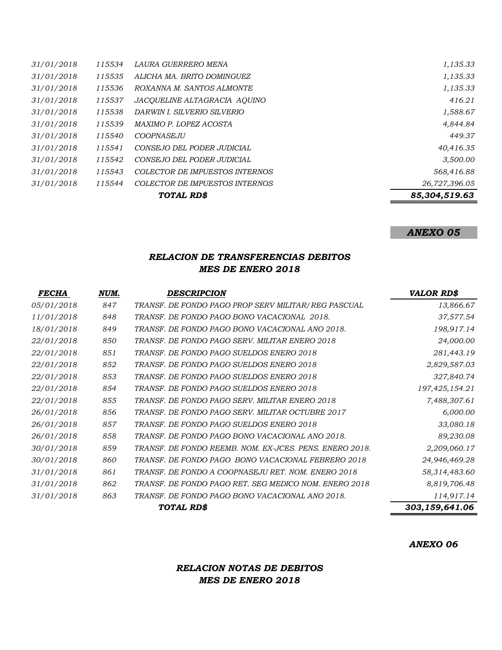|            |        | TOTAL RD\$                     | 85,304,519.63 |
|------------|--------|--------------------------------|---------------|
| 31/01/2018 | 115544 | COLECTOR DE IMPUESTOS INTERNOS | 26,727,396.05 |
| 31/01/2018 | 115543 | COLECTOR DE IMPUESTOS INTERNOS | 568,416.88    |
| 31/01/2018 | 115542 | CONSEJO DEL PODER JUDICIAL     | 3,500.00      |
| 31/01/2018 | 115541 | CONSEJO DEL PODER JUDICIAL     | 40,416.35     |
| 31/01/2018 | 115540 | COOPNASEJU                     | 449.37        |
| 31/01/2018 | 115539 | MAXIMO P. LOPEZ ACOSTA         | 4,844.84      |
| 31/01/2018 | 115538 | DARWIN I. SILVERIO SILVERIO    | 1,588.67      |
| 31/01/2018 | 115537 | JACOUELINE ALTAGRACIA AOUINO   | 416.21        |
| 31/01/2018 | 115536 | ROXANNA M. SANTOS ALMONTE      | 1,135.33      |
| 31/01/2018 | 115535 | ALICHA MA. BRITO DOMINGUEZ     | 1,135.33      |
| 31/01/2018 | 115534 | LAURA GUERRERO MENA            | 1,135.33      |

### *ANEXO 05*

### *RELACION DE TRANSFERENCIAS DEBITOS MES DE ENERO 2018*

| <i>FECHA</i> | NUM. | <b>DESCRIPCION</b>                                      | <b>VALOR RD\$</b> |
|--------------|------|---------------------------------------------------------|-------------------|
| 05/01/2018   | 847  | TRANSF. DE FONDO PAGO PROP SERV MILITAR/REG PASCUAL     | 13,866.67         |
| 11/01/2018   | 848  | TRANSF. DE FONDO PAGO BONO VACACIONAL 2018.             | 37,577.54         |
| 18/01/2018   | 849  | TRANSF. DE FONDO PAGO BONO VACACIONAL ANO 2018.         | 198,917.14        |
| 22/01/2018   | 850  | TRANSF. DE FONDO PAGO SERV. MILITAR ENERO 2018          | 24,000.00         |
| 22/01/2018   | 851  | TRANSF. DE FONDO PAGO SUELDOS ENERO 2018                | 281,443.19        |
| 22/01/2018   | 852  | TRANSF. DE FONDO PAGO SUELDOS ENERO 2018                | 2,829,587.03      |
| 22/01/2018   | 853  | TRANSF. DE FONDO PAGO SUELDOS ENERO 2018                | 327,840.74        |
| 22/01/2018   | 854  | TRANSF. DE FONDO PAGO SUELDOS ENERO 2018                | 197,425,154.21    |
| 22/01/2018   | 855  | TRANSF. DE FONDO PAGO SERV. MILITAR ENERO 2018          | 7,488,307.61      |
| 26/01/2018   | 856  | TRANSF. DE FONDO PAGO SERV. MILITAR OCTUBRE 2017        | 6,000.00          |
| 26/01/2018   | 857  | TRANSF. DE FONDO PAGO SUELDOS ENERO 2018                | 33,080.18         |
| 26/01/2018   | 858  | TRANSF. DE FONDO PAGO BONO VACACIONAL ANO 2018.         | 89,230.08         |
| 30/01/2018   | 859  | TRANSF. DE FONDO REEMB. NOM. EX-JCES. PENS. ENERO 2018. | 2,209,060.17      |
| 30/01/2018   | 860  | TRANSF. DE FONDO PAGO BONO VACACIONAL FEBRERO 2018      | 24,946,469.28     |
| 31/01/2018   | 861  | TRANSF. DE FONDO A COOPNASEJU RET. NOM. ENERO 2018      | 58,314,483.60     |
| 31/01/2018   | 862  | TRANSF. DE FONDO PAGO RET. SEG MEDICO NOM. ENERO 2018   | 8,819,706.48      |
| 31/01/2018   | 863  | TRANSF. DE FONDO PAGO BONO VACACIONAL ANO 2018.         | 114,917.14        |
|              |      | <b>TOTAL RDS</b>                                        | 303,159,641.06    |

*ANEXO 06*

# *RELACION NOTAS DE DEBITOS MES DE ENERO 2018*